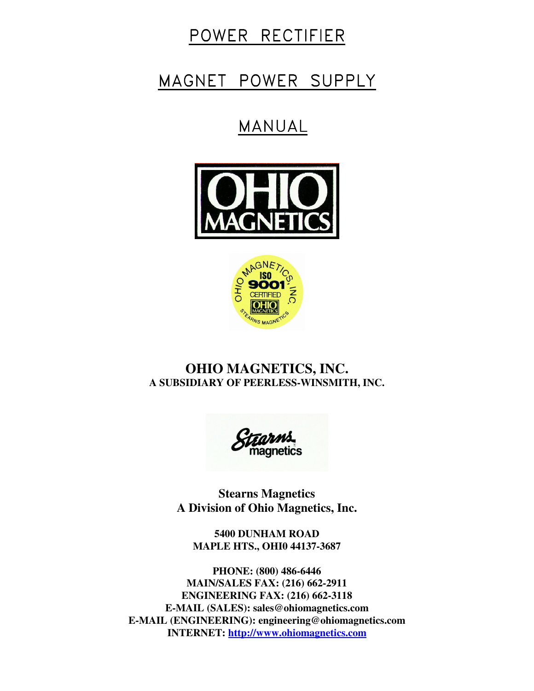# POWER RECTIFIER

# MAGNET POWER SUPPLY

# MANUAL





# **OHIO MAGNETICS, INC. A SUBSIDIARY OF PEERLESS-WINSMITH, INC.**

**Stearns Magnetics A Division of Ohio Magnetics, Inc.**

**5400 DUNHAM ROAD MAPLE HTS., OHI0 44137-3687**

**PHONE: (800) 486-6446 MAIN/SALES FAX: (216) 662-2911 ENGINEERING FAX: (216) 662-3118 E-MAIL (SALES): sales@ohiomagnetics.com E-MAIL (ENGINEERING): engineering@ohiomagnetics.com INTERNET: http://www.ohiomagnetics.com**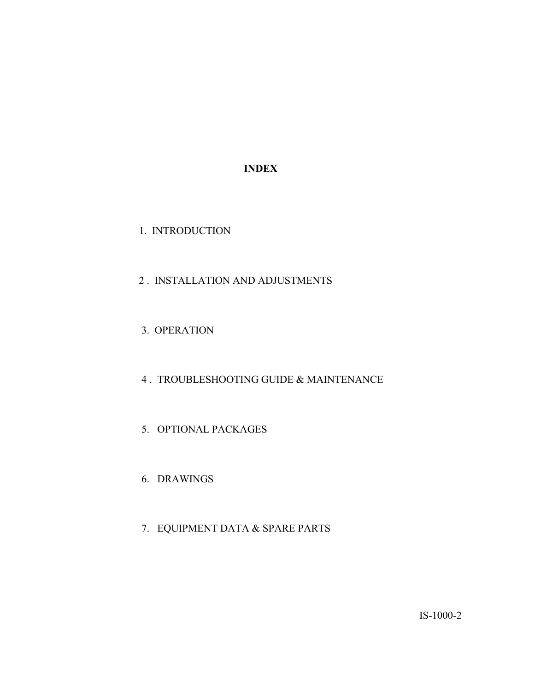# **INDEX**

- 1. INTRODUCTION
- 2 . INSTALLATION AND ADJUSTMENTS
- 3. OPERATION
- 4 . TROUBLESHOOTING GUIDE & MAINTENANCE
- 5. OPTIONAL PACKAGES
- 6. DRAWINGS
- 7. EQUIPMENT DATA & SPARE PARTS

IS-1000-2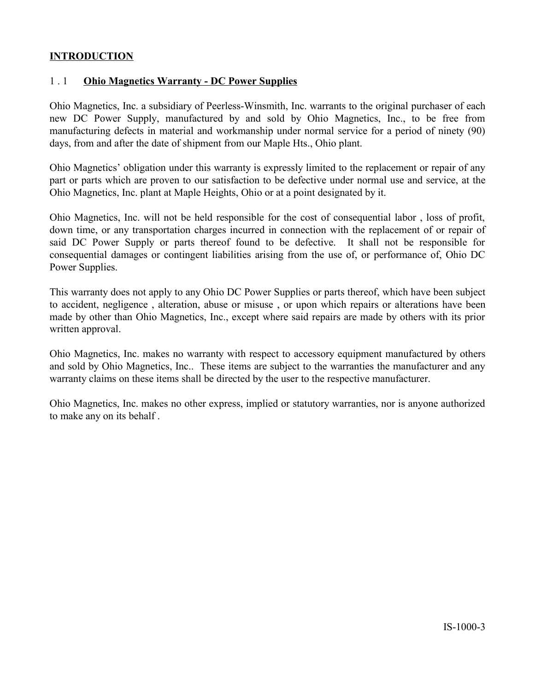#### **INTRODUCTION**

# 1 . 1 **Ohio Magnetics Warranty - DC Power Supplies**

Ohio Magnetics, Inc. a subsidiary of Peerless-Winsmith, Inc. warrants to the original purchaser of each new DC Power Supply, manufactured by and sold by Ohio Magnetics, Inc., to be free from manufacturing defects in material and workmanship under normal service for a period of ninety (90) days, from and after the date of shipment from our Maple Hts., Ohio plant.

Ohio Magnetics' obligation under this warranty is expressly limited to the replacement or repair of any part or parts which are proven to our satisfaction to be defective under normal use and service, at the Ohio Magnetics, Inc. plant at Maple Heights, Ohio or at a point designated by it.

Ohio Magnetics, Inc. will not be held responsible for the cost of consequential labor , loss of profit, down time, or any transportation charges incurred in connection with the replacement of or repair of said DC Power Supply or parts thereof found to be defective. It shall not be responsible for consequential damages or contingent liabilities arising from the use of, or performance of, Ohio DC Power Supplies.

This warranty does not apply to any Ohio DC Power Supplies or parts thereof, which have been subject to accident, negligence , alteration, abuse or misuse , or upon which repairs or alterations have been made by other than Ohio Magnetics, Inc., except where said repairs are made by others with its prior written approval.

Ohio Magnetics, Inc. makes no warranty with respect to accessory equipment manufactured by others and sold by Ohio Magnetics, Inc.. These items are subject to the warranties the manufacturer and any warranty claims on these items shall be directed by the user to the respective manufacturer.

Ohio Magnetics, Inc. makes no other express, implied or statutory warranties, nor is anyone authorized to make any on its behalf .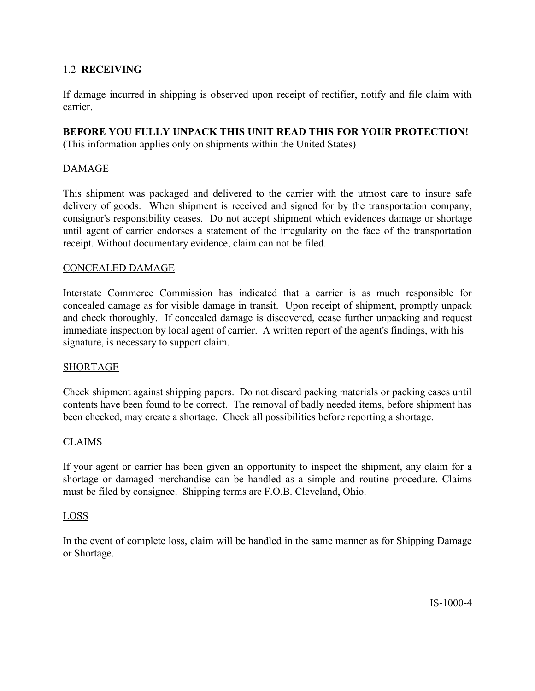# 1.2 **RECEIVING**

If damage incurred in shipping is observed upon receipt of rectifier, notify and file claim with carrier.

# **BEFORE YOU FULLY UNPACK THIS UNIT READ THIS FOR YOUR PROTECTION!**

(This information applies only on shipments within the United States)

# DAMAGE

This shipment was packaged and delivered to the carrier with the utmost care to insure safe delivery of goods. When shipment is received and signed for by the transportation company, consignor's responsibility ceases. Do not accept shipment which evidences damage or shortage until agent of carrier endorses a statement of the irregularity on the face of the transportation receipt. Without documentary evidence, claim can not be filed.

#### CONCEALED DAMAGE

Interstate Commerce Commission has indicated that a carrier is as much responsible for concealed damage as for visible damage in transit. Upon receipt of shipment, promptly unpack and check thoroughly. If concealed damage is discovered, cease further unpacking and request immediate inspection by local agent of carrier. A written report of the agent's findings, with his signature, is necessary to support claim.

# SHORTAGE

Check shipment against shipping papers. Do not discard packing materials or packing cases until contents have been found to be correct. The removal of badly needed items, before shipment has been checked, may create a shortage. Check all possibilities before reporting a shortage.

# CLAIMS

If your agent or carrier has been given an opportunity to inspect the shipment, any claim for a shortage or damaged merchandise can be handled as a simple and routine procedure. Claims must be filed by consignee. Shipping terms are F.O.B. Cleveland, Ohio.

#### LOSS

In the event of complete loss, claim will be handled in the same manner as for Shipping Damage or Shortage.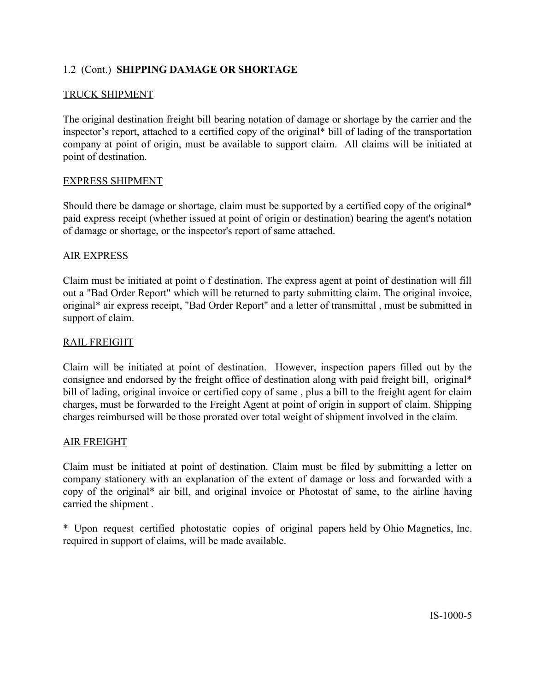# 1.2 (Cont.) **SHIPPING DAMAGE OR SHORTAGE**

#### TRUCK SHIPMENT

The original destination freight bill bearing notation of damage or shortage by the carrier and the inspector's report, attached to a certified copy of the original\* bill of lading of the transportation company at point of origin, must be available to support claim. All claims will be initiated at point of destination.

#### EXPRESS SHIPMENT

Should there be damage or shortage, claim must be supported by a certified copy of the original\* paid express receipt (whether issued at point of origin or destination) bearing the agent's notation of damage or shortage, or the inspector's report of same attached.

#### AIR EXPRESS

Claim must be initiated at point o f destination. The express agent at point of destination will fill out a "Bad Order Report" which will be returned to party submitting claim. The original invoice, original\* air express receipt, "Bad Order Report" and a letter of transmittal , must be submitted in support of claim.

#### RAIL FREIGHT

Claim will be initiated at point of destination. However, inspection papers filled out by the consignee and endorsed by the freight office of destination along with paid freight bill, original\* bill of lading, original invoice or certified copy of same , plus a bill to the freight agent for claim charges, must be forwarded to the Freight Agent at point of origin in support of claim. Shipping charges reimbursed will be those prorated over total weight of shipment involved in the claim.

#### AIR FREIGHT

Claim must be initiated at point of destination. Claim must be filed by submitting a letter on company stationery with an explanation of the extent of damage or loss and forwarded with a copy of the original\* air bill, and original invoice or Photostat of same, to the airline having carried the shipment .

\* Upon request certified photostatic copies of original papers held by Ohio Magnetics, Inc. required in support of claims, will be made available.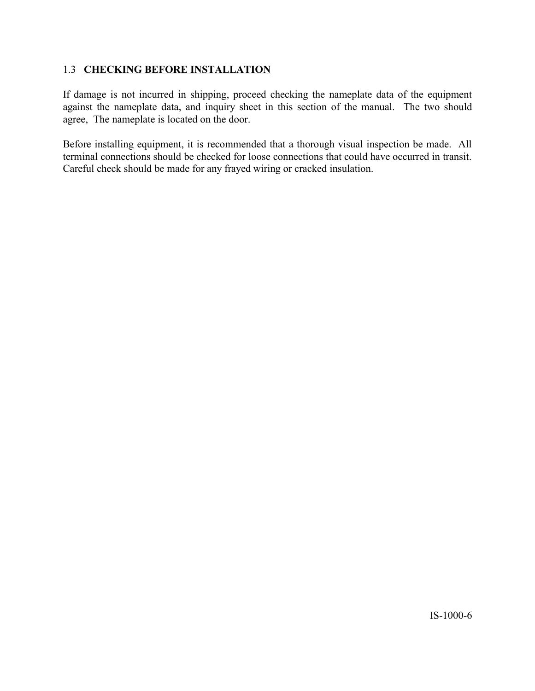# 1.3 **CHECKING BEFORE INSTALLATION**

If damage is not incurred in shipping, proceed checking the nameplate data of the equipment against the nameplate data, and inquiry sheet in this section of the manual. The two should agree, The nameplate is located on the door.

Before installing equipment, it is recommended that a thorough visual inspection be made. All terminal connections should be checked for loose connections that could have occurred in transit. Careful check should be made for any frayed wiring or cracked insulation.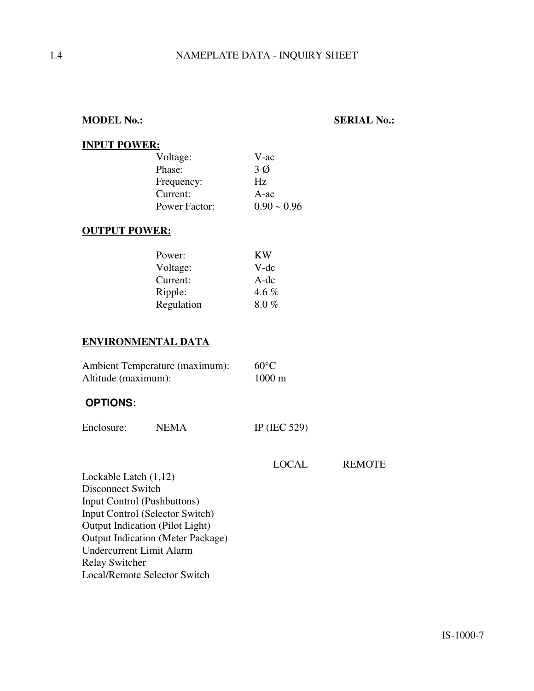**MODEL No.: SERIAL No.:**

#### **INPUT POWER:**

| Voltage:      | V-ac          |
|---------------|---------------|
| Phase:        | $3\emptyset$  |
| Frequency:    | Hz.           |
| Current:      | $A$ -ac       |
| Power Factor: | $0.90 - 0.96$ |

# **OUTPUT POWER:**

| Power:     | KW    |
|------------|-------|
| Voltage:   | V-dc  |
| Current:   | A-dc  |
| Ripple:    | 4.6 % |
| Regulation | 8.0%  |

# **ENVIRONMENTAL DATA**

| Ambient Temperature (maximum): | $60^{\circ}$ C   |
|--------------------------------|------------------|
| Altitude (maximum):            | $1000 \text{ m}$ |

#### **OPTIONS:**

| Enclosure: | <b>NEMA</b> | IP (IEC 529) |
|------------|-------------|--------------|
|------------|-------------|--------------|

| LOCAL | <b>REMOTE</b> |
|-------|---------------|
|-------|---------------|

Lockable Latch (1,12) Disconnect Switch Input Control (Pushbuttons) Input Control (Selector Switch) Output Indication (Pilot Light) Output Indication (Meter Package) Undercurrent Limit Alarm Relay Switcher Local/Remote Selector Switch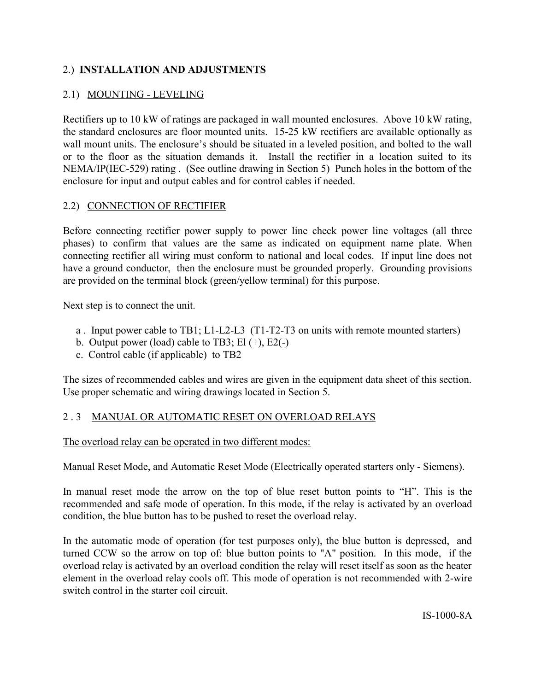# 2.) **INSTALLATION AND ADJUSTMENTS**

# 2.1) MOUNTING - LEVELING

Rectifiers up to 10 kW of ratings are packaged in wall mounted enclosures. Above 10 kW rating, the standard enclosures are floor mounted units. 15-25 kW rectifiers are available optionally as wall mount units. The enclosure's should be situated in a leveled position, and bolted to the wall or to the floor as the situation demands it. Install the rectifier in a location suited to its NEMA/IP(IEC-529) rating . (See outline drawing in Section 5) Punch holes in the bottom of the enclosure for input and output cables and for control cables if needed.

# 2.2) CONNECTION OF RECTIFIER

Before connecting rectifier power supply to power line check power line voltages (all three phases) to confirm that values are the same as indicated on equipment name plate. When connecting rectifier all wiring must conform to national and local codes. If input line does not have a ground conductor, then the enclosure must be grounded properly. Grounding provisions are provided on the terminal block (green/yellow terminal) for this purpose.

Next step is to connect the unit.

- a . Input power cable to TB1; L1-L2-L3 (T1-T2-T3 on units with remote mounted starters)
- b. Output power (load) cable to TB3; El  $(+)$ , E2 $(-)$
- c. Control cable (if applicable) to TB2

The sizes of recommended cables and wires are given in the equipment data sheet of this section. Use proper schematic and wiring drawings located in Section 5.

# 2 . 3 MANUAL OR AUTOMATIC RESET ON OVERLOAD RELAYS

The overload relay can be operated in two different modes:

Manual Reset Mode, and Automatic Reset Mode (Electrically operated starters only - Siemens).

In manual reset mode the arrow on the top of blue reset button points to "H". This is the recommended and safe mode of operation. In this mode, if the relay is activated by an overload condition, the blue button has to be pushed to reset the overload relay.

In the automatic mode of operation (for test purposes only), the blue button is depressed, and turned CCW so the arrow on top of: blue button points to "A" position. In this mode, if the overload relay is activated by an overload condition the relay will reset itself as soon as the heater element in the overload relay cools off. This mode of operation is not recommended with 2-wire switch control in the starter coil circuit.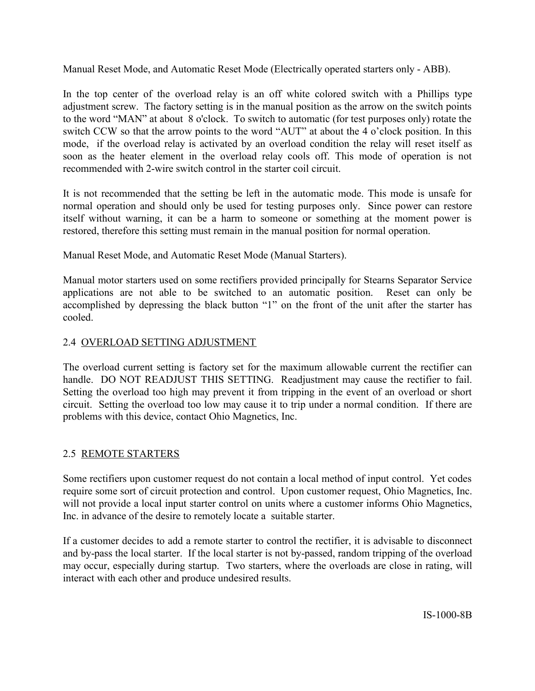Manual Reset Mode, and Automatic Reset Mode (Electrically operated starters only - ABB).

In the top center of the overload relay is an off white colored switch with a Phillips type adjustment screw. The factory setting is in the manual position as the arrow on the switch points to the word "MAN" at about 8 o'clock. To switch to automatic (for test purposes only) rotate the switch CCW so that the arrow points to the word "AUT" at about the 4 o'clock position. In this mode, if the overload relay is activated by an overload condition the relay will reset itself as soon as the heater element in the overload relay cools off. This mode of operation is not recommended with 2-wire switch control in the starter coil circuit.

It is not recommended that the setting be left in the automatic mode. This mode is unsafe for normal operation and should only be used for testing purposes only. Since power can restore itself without warning, it can be a harm to someone or something at the moment power is restored, therefore this setting must remain in the manual position for normal operation.

Manual Reset Mode, and Automatic Reset Mode (Manual Starters).

Manual motor starters used on some rectifiers provided principally for Stearns Separator Service applications are not able to be switched to an automatic position. Reset can only be accomplished by depressing the black button "1" on the front of the unit after the starter has cooled.

# 2.4 OVERLOAD SETTING ADJUSTMENT

The overload current setting is factory set for the maximum allowable current the rectifier can handle. DO NOT READJUST THIS SETTING. Readjustment may cause the rectifier to fail. Setting the overload too high may prevent it from tripping in the event of an overload or short circuit. Setting the overload too low may cause it to trip under a normal condition. If there are problems with this device, contact Ohio Magnetics, Inc.

# 2.5 REMOTE STARTERS

Some rectifiers upon customer request do not contain a local method of input control. Yet codes require some sort of circuit protection and control. Upon customer request, Ohio Magnetics, Inc. will not provide a local input starter control on units where a customer informs Ohio Magnetics, Inc. in advance of the desire to remotely locate a suitable starter.

If a customer decides to add a remote starter to control the rectifier, it is advisable to disconnect and by-pass the local starter. If the local starter is not by-passed, random tripping of the overload may occur, especially during startup. Two starters, where the overloads are close in rating, will interact with each other and produce undesired results.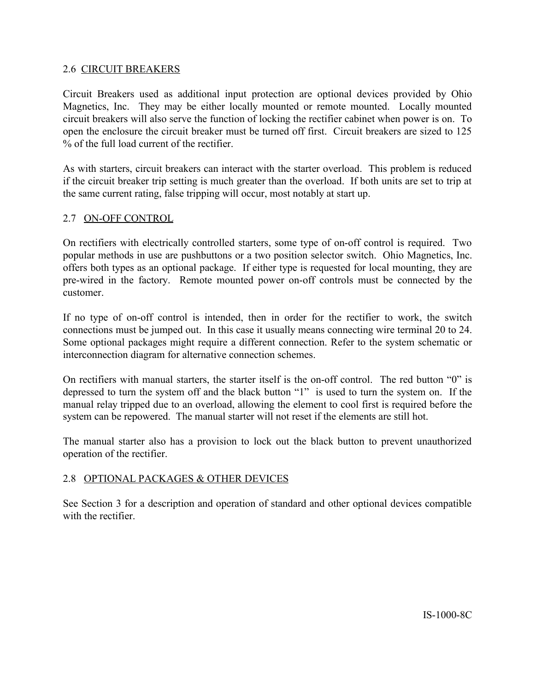#### 2.6 CIRCUIT BREAKERS

Circuit Breakers used as additional input protection are optional devices provided by Ohio Magnetics, Inc. They may be either locally mounted or remote mounted. Locally mounted circuit breakers will also serve the function of locking the rectifier cabinet when power is on. To open the enclosure the circuit breaker must be turned off first. Circuit breakers are sized to 125 % of the full load current of the rectifier.

As with starters, circuit breakers can interact with the starter overload. This problem is reduced if the circuit breaker trip setting is much greater than the overload. If both units are set to trip at the same current rating, false tripping will occur, most notably at start up.

#### 2.7 ON-OFF CONTROL

On rectifiers with electrically controlled starters, some type of on-off control is required. Two popular methods in use are pushbuttons or a two position selector switch. Ohio Magnetics, Inc. offers both types as an optional package. If either type is requested for local mounting, they are pre-wired in the factory. Remote mounted power on-off controls must be connected by the customer.

If no type of on-off control is intended, then in order for the rectifier to work, the switch connections must be jumped out. In this case it usually means connecting wire terminal 20 to 24. Some optional packages might require a different connection. Refer to the system schematic or interconnection diagram for alternative connection schemes.

On rectifiers with manual starters, the starter itself is the on-off control. The red button "0" is depressed to turn the system off and the black button "1" is used to turn the system on. If the manual relay tripped due to an overload, allowing the element to cool first is required before the system can be repowered. The manual starter will not reset if the elements are still hot.

The manual starter also has a provision to lock out the black button to prevent unauthorized operation of the rectifier.

# 2.8 OPTIONAL PACKAGES & OTHER DEVICES

See Section 3 for a description and operation of standard and other optional devices compatible with the rectifier.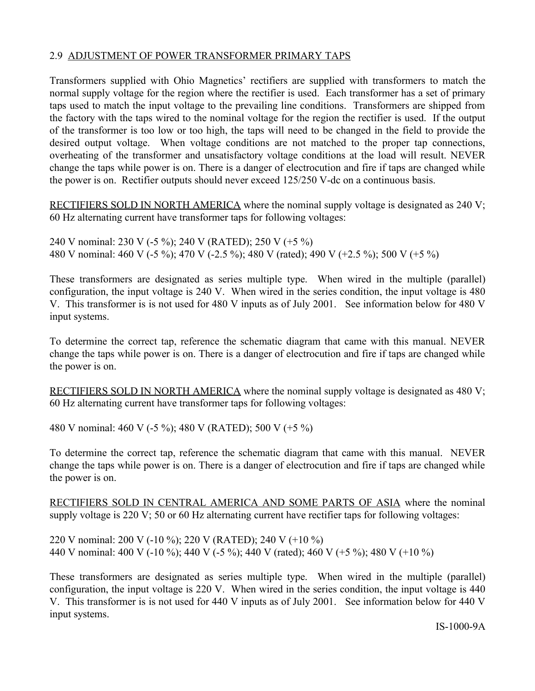#### 2.9 ADJUSTMENT OF POWER TRANSFORMER PRIMARY TAPS

Transformers supplied with Ohio Magnetics' rectifiers are supplied with transformers to match the normal supply voltage for the region where the rectifier is used. Each transformer has a set of primary taps used to match the input voltage to the prevailing line conditions. Transformers are shipped from the factory with the taps wired to the nominal voltage for the region the rectifier is used. If the output of the transformer is too low or too high, the taps will need to be changed in the field to provide the desired output voltage. When voltage conditions are not matched to the proper tap connections, overheating of the transformer and unsatisfactory voltage conditions at the load will result. NEVER change the taps while power is on. There is a danger of electrocution and fire if taps are changed while the power is on. Rectifier outputs should never exceed 125/250 V-dc on a continuous basis.

RECTIFIERS SOLD IN NORTH AMERICA where the nominal supply voltage is designated as 240 V; 60 Hz alternating current have transformer taps for following voltages:

240 V nominal: 230 V (-5 %); 240 V (RATED); 250 V (+5 %) 480 V nominal: 460 V (-5 %); 470 V (-2.5 %); 480 V (rated); 490 V (+2.5 %); 500 V (+5 %)

These transformers are designated as series multiple type. When wired in the multiple (parallel) configuration, the input voltage is 240 V. When wired in the series condition, the input voltage is 480 V. This transformer is is not used for 480 V inputs as of July 2001. See information below for 480 V input systems.

To determine the correct tap, reference the schematic diagram that came with this manual. NEVER change the taps while power is on. There is a danger of electrocution and fire if taps are changed while the power is on.

RECTIFIERS SOLD IN NORTH AMERICA where the nominal supply voltage is designated as 480 V; 60 Hz alternating current have transformer taps for following voltages:

480 V nominal: 460 V (-5 %); 480 V (RATED); 500 V (+5 %)

To determine the correct tap, reference the schematic diagram that came with this manual. NEVER change the taps while power is on. There is a danger of electrocution and fire if taps are changed while the power is on.

RECTIFIERS SOLD IN CENTRAL AMERICA AND SOME PARTS OF ASIA where the nominal supply voltage is 220 V; 50 or 60 Hz alternating current have rectifier taps for following voltages:

220 V nominal: 200 V (-10 %); 220 V (RATED); 240 V (+10 %) 440 V nominal: 400 V (-10 %); 440 V (-5 %); 440 V (rated); 460 V (+5 %); 480 V (+10 %)

These transformers are designated as series multiple type. When wired in the multiple (parallel) configuration, the input voltage is 220 V. When wired in the series condition, the input voltage is 440 V. This transformer is is not used for 440 V inputs as of July 2001. See information below for 440 V input systems.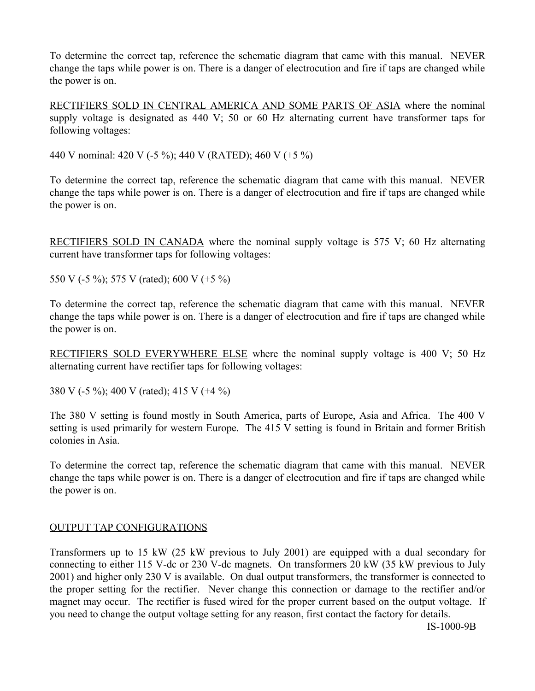To determine the correct tap, reference the schematic diagram that came with this manual. NEVER change the taps while power is on. There is a danger of electrocution and fire if taps are changed while the power is on.

RECTIFIERS SOLD IN CENTRAL AMERICA AND SOME PARTS OF ASIA where the nominal supply voltage is designated as 440 V; 50 or 60 Hz alternating current have transformer taps for following voltages:

440 V nominal: 420 V (-5 %); 440 V (RATED); 460 V (+5 %)

To determine the correct tap, reference the schematic diagram that came with this manual. NEVER change the taps while power is on. There is a danger of electrocution and fire if taps are changed while the power is on.

RECTIFIERS SOLD IN CANADA where the nominal supply voltage is 575 V; 60 Hz alternating current have transformer taps for following voltages:

550 V (-5 %); 575 V (rated); 600 V (+5 %)

To determine the correct tap, reference the schematic diagram that came with this manual. NEVER change the taps while power is on. There is a danger of electrocution and fire if taps are changed while the power is on.

RECTIFIERS SOLD EVERYWHERE ELSE where the nominal supply voltage is 400 V; 50 Hz alternating current have rectifier taps for following voltages:

380 V (-5 %); 400 V (rated); 415 V (+4 %)

The 380 V setting is found mostly in South America, parts of Europe, Asia and Africa. The 400 V setting is used primarily for western Europe. The 415 V setting is found in Britain and former British colonies in Asia.

To determine the correct tap, reference the schematic diagram that came with this manual. NEVER change the taps while power is on. There is a danger of electrocution and fire if taps are changed while the power is on.

# OUTPUT TAP CONFIGURATIONS

Transformers up to 15 kW (25 kW previous to July 2001) are equipped with a dual secondary for connecting to either 115 V-dc or 230 V-dc magnets. On transformers 20 kW (35 kW previous to July 2001) and higher only 230 V is available. On dual output transformers, the transformer is connected to the proper setting for the rectifier. Never change this connection or damage to the rectifier and/or magnet may occur. The rectifier is fused wired for the proper current based on the output voltage. If you need to change the output voltage setting for any reason, first contact the factory for details.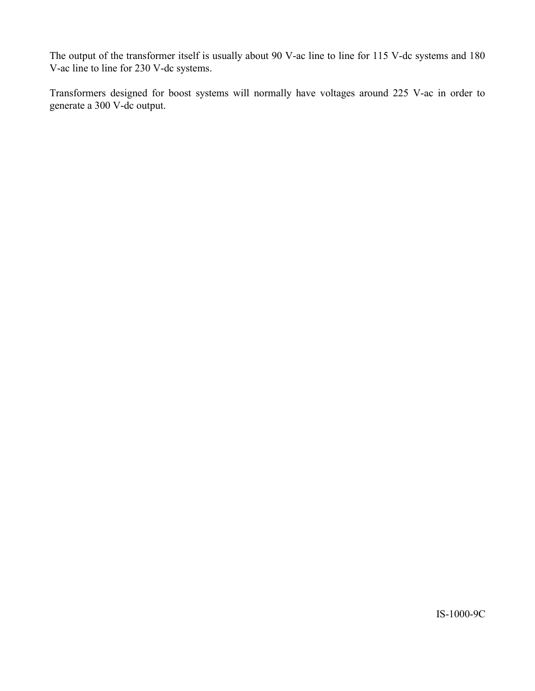The output of the transformer itself is usually about 90 V-ac line to line for 115 V-dc systems and 180 V-ac line to line for 230 V-dc systems.

Transformers designed for boost systems will normally have voltages around 225 V-ac in order to generate a 300 V-dc output.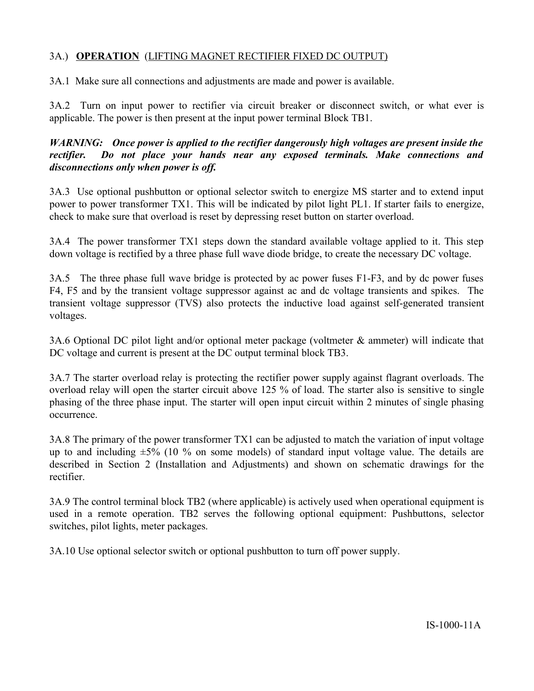# 3A.) **OPERATION** (LIFTING MAGNET RECTIFIER FIXED DC OUTPUT)

3A.1 Make sure all connections and adjustments are made and power is available.

3A.2 Turn on input power to rectifier via circuit breaker or disconnect switch, or what ever is applicable. The power is then present at the input power terminal Block TB1.

*WARNING: Once power is applied to the rectifier dangerously high voltages are present inside the rectifier. Do not place your hands near any exposed terminals. Make connections and disconnections only when power is off.*

3A.3 Use optional pushbutton or optional selector switch to energize MS starter and to extend input power to power transformer TX1. This will be indicated by pilot light PL1. If starter fails to energize, check to make sure that overload is reset by depressing reset button on starter overload.

3A.4 The power transformer TX1 steps down the standard available voltage applied to it. This step down voltage is rectified by a three phase full wave diode bridge, to create the necessary DC voltage.

3A.5 The three phase full wave bridge is protected by ac power fuses F1-F3, and by dc power fuses F4, F5 and by the transient voltage suppressor against ac and dc voltage transients and spikes. The transient voltage suppressor (TVS) also protects the inductive load against self-generated transient voltages.

3A.6 Optional DC pilot light and/or optional meter package (voltmeter & ammeter) will indicate that DC voltage and current is present at the DC output terminal block TB3.

3A.7 The starter overload relay is protecting the rectifier power supply against flagrant overloads. The overload relay will open the starter circuit above 125 % of load. The starter also is sensitive to single phasing of the three phase input. The starter will open input circuit within 2 minutes of single phasing occurrence.

3A.8 The primary of the power transformer TX1 can be adjusted to match the variation of input voltage up to and including  $\pm 5\%$  (10 % on some models) of standard input voltage value. The details are described in Section 2 (Installation and Adjustments) and shown on schematic drawings for the rectifier.

3A.9 The control terminal block TB2 (where applicable) is actively used when operational equipment is used in a remote operation. TB2 serves the following optional equipment: Pushbuttons, selector switches, pilot lights, meter packages.

3A.10 Use optional selector switch or optional pushbutton to turn off power supply.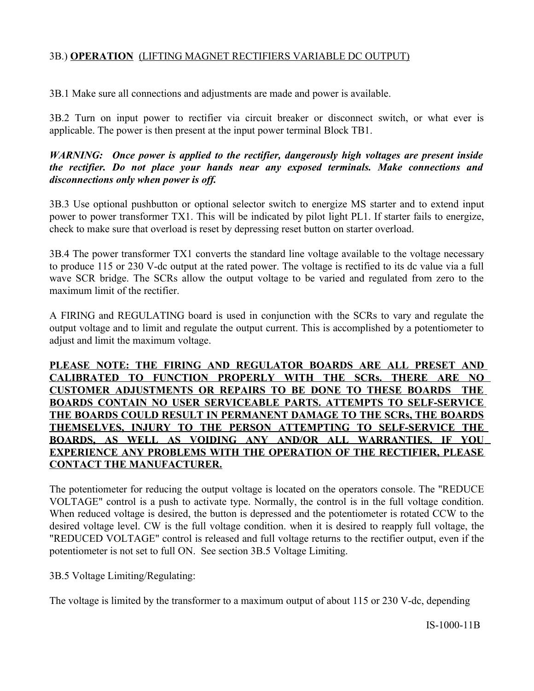# 3B.) **OPERATION** (LIFTING MAGNET RECTIFIERS VARIABLE DC OUTPUT)

3B.1 Make sure all connections and adjustments are made and power is available.

3B.2 Turn on input power to rectifier via circuit breaker or disconnect switch, or what ever is applicable. The power is then present at the input power terminal Block TB1.

#### *WARNING: Once power is applied to the rectifier, dangerously high voltages are present inside the rectifier. Do not place your hands near any exposed terminals. Make connections and disconnections only when power is off.*

3B.3 Use optional pushbutton or optional selector switch to energize MS starter and to extend input power to power transformer TX1. This will be indicated by pilot light PL1. If starter fails to energize, check to make sure that overload is reset by depressing reset button on starter overload.

3B.4 The power transformer TX1 converts the standard line voltage available to the voltage necessary to produce 115 or 230 V-dc output at the rated power. The voltage is rectified to its dc value via a full wave SCR bridge. The SCRs allow the output voltage to be varied and regulated from zero to the maximum limit of the rectifier.

A FIRING and REGULATING board is used in conjunction with the SCRs to vary and regulate the output voltage and to limit and regulate the output current. This is accomplished by a potentiometer to adjust and limit the maximum voltage.

# **PLEASE NOTE: THE FIRING AND REGULATOR BOARDS ARE ALL PRESET AND CALIBRATED TO FUNCTION PROPERLY WITH THE SCRs. THERE ARE NO CUSTOMER ADJUSTMENTS OR REPAIRS TO BE DONE TO THESE BOARDS THE BOARDS CONTAIN NO USER SERVICEABLE PARTS. ATTEMPTS TO SELF-SERVICE THE BOARDS COULD RESULT IN PERMANENT DAMAGE TO THE SCRs, THE BOARDS THEMSELVES, INJURY TO THE PERSON ATTEMPTING TO SELF-SERVICE THE BOARDS, AS WELL AS VOIDING ANY AND/OR ALL WARRANTIES. IF YOU EXPERIENCE ANY PROBLEMS WITH THE OPERATION OF THE RECTIFIER, PLEASE CONTACT THE MANUFACTURER.**

The potentiometer for reducing the output voltage is located on the operators console. The "REDUCE VOLTAGE" control is a push to activate type. Normally, the control is in the full voltage condition. When reduced voltage is desired, the button is depressed and the potentiometer is rotated CCW to the desired voltage level. CW is the full voltage condition. when it is desired to reapply full voltage, the "REDUCED VOLTAGE" control is released and full voltage returns to the rectifier output, even if the potentiometer is not set to full ON. See section 3B.5 Voltage Limiting.

# 3B.5 Voltage Limiting/Regulating:

The voltage is limited by the transformer to a maximum output of about 115 or 230 V-dc, depending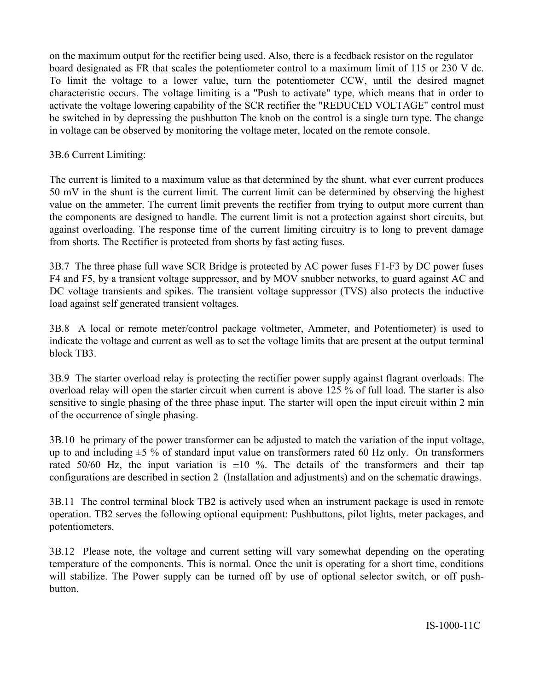on the maximum output for the rectifier being used. Also, there is a feedback resistor on the regulator board designated as FR that scales the potentiometer control to a maximum limit of 115 or 230 V dc. To limit the voltage to a lower value, turn the potentiometer CCW, until the desired magnet characteristic occurs. The voltage limiting is a "Push to activate" type, which means that in order to activate the voltage lowering capability of the SCR rectifier the "REDUCED VOLTAGE" control must be switched in by depressing the pushbutton The knob on the control is a single turn type. The change in voltage can be observed by monitoring the voltage meter, located on the remote console.

#### 3B.6 Current Limiting:

The current is limited to a maximum value as that determined by the shunt. what ever current produces 50 mV in the shunt is the current limit. The current limit can be determined by observing the highest value on the ammeter. The current limit prevents the rectifier from trying to output more current than the components are designed to handle. The current limit is not a protection against short circuits, but against overloading. The response time of the current limiting circuitry is to long to prevent damage from shorts. The Rectifier is protected from shorts by fast acting fuses.

3B.7 The three phase full wave SCR Bridge is protected by AC power fuses F1-F3 by DC power fuses F4 and F5, by a transient voltage suppressor, and by MOV snubber networks, to guard against AC and DC voltage transients and spikes. The transient voltage suppressor (TVS) also protects the inductive load against self generated transient voltages.

3B.8 A local or remote meter/control package voltmeter, Ammeter, and Potentiometer) is used to indicate the voltage and current as well as to set the voltage limits that are present at the output terminal block TB3.

3B.9 The starter overload relay is protecting the rectifier power supply against flagrant overloads. The overload relay will open the starter circuit when current is above 125 % of full load. The starter is also sensitive to single phasing of the three phase input. The starter will open the input circuit within 2 min of the occurrence of single phasing.

3B.10 he primary of the power transformer can be adjusted to match the variation of the input voltage, up to and including  $\pm 5$  % of standard input value on transformers rated 60 Hz only. On transformers rated 50/60 Hz, the input variation is  $\pm 10$  %. The details of the transformers and their tap configurations are described in section 2 (Installation and adjustments) and on the schematic drawings.

3B.11 The control terminal block TB2 is actively used when an instrument package is used in remote operation. TB2 serves the following optional equipment: Pushbuttons, pilot lights, meter packages, and potentiometers.

3B.12 Please note, the voltage and current setting will vary somewhat depending on the operating temperature of the components. This is normal. Once the unit is operating for a short time, conditions will stabilize. The Power supply can be turned off by use of optional selector switch, or off pushbutton.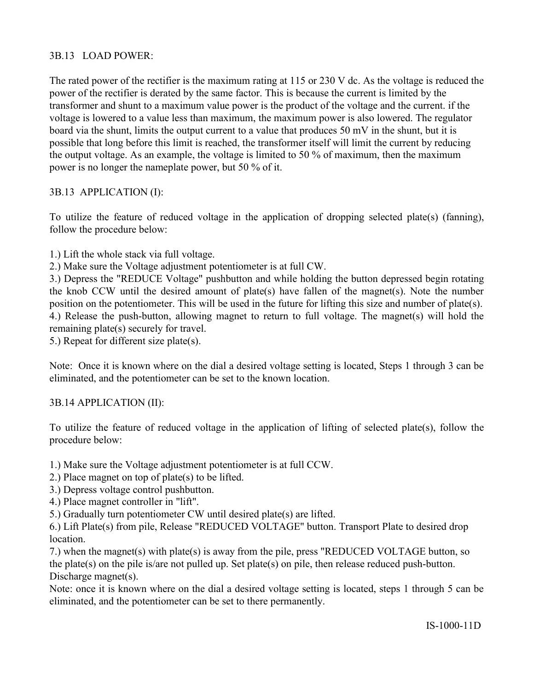# 3B.13 LOAD POWER:

The rated power of the rectifier is the maximum rating at 115 or 230 V dc. As the voltage is reduced the power of the rectifier is derated by the same factor. This is because the current is limited by the transformer and shunt to a maximum value power is the product of the voltage and the current. if the voltage is lowered to a value less than maximum, the maximum power is also lowered. The regulator board via the shunt, limits the output current to a value that produces 50 mV in the shunt, but it is possible that long before this limit is reached, the transformer itself will limit the current by reducing the output voltage. As an example, the voltage is limited to 50 % of maximum, then the maximum power is no longer the nameplate power, but 50 % of it.

# 3B.13 APPLICATION (I):

To utilize the feature of reduced voltage in the application of dropping selected plate(s) (fanning), follow the procedure below:

1.) Lift the whole stack via full voltage.

2.) Make sure the Voltage adjustment potentiometer is at full CW.

3.) Depress the "REDUCE Voltage" pushbutton and while holding the button depressed begin rotating the knob CCW until the desired amount of plate(s) have fallen of the magnet(s). Note the number position on the potentiometer. This will be used in the future for lifting this size and number of plate(s). 4.) Release the push-button, allowing magnet to return to full voltage. The magnet(s) will hold the remaining plate(s) securely for travel.

5.) Repeat for different size plate(s).

Note: Once it is known where on the dial a desired voltage setting is located, Steps 1 through 3 can be eliminated, and the potentiometer can be set to the known location.

# 3B.14 APPLICATION (II):

To utilize the feature of reduced voltage in the application of lifting of selected plate(s), follow the procedure below:

1.) Make sure the Voltage adjustment potentiometer is at full CCW.

- 2.) Place magnet on top of plate(s) to be lifted.
- 3.) Depress voltage control pushbutton.
- 4.) Place magnet controller in "lift".

5.) Gradually turn potentiometer CW until desired plate(s) are lifted.

6.) Lift Plate(s) from pile, Release "REDUCED VOLTAGE" button. Transport Plate to desired drop **location** 

7.) when the magnet(s) with plate(s) is away from the pile, press "REDUCED VOLTAGE button, so the plate(s) on the pile is/are not pulled up. Set plate(s) on pile, then release reduced push-button. Discharge magnet(s).

Note: once it is known where on the dial a desired voltage setting is located, steps 1 through 5 can be eliminated, and the potentiometer can be set to there permanently.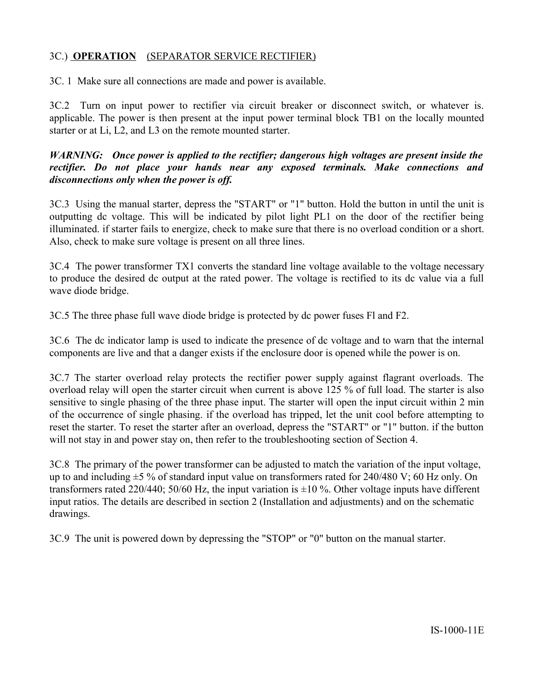# 3C.) **OPERATION** (SEPARATOR SERVICE RECTIFIER)

3C. 1 Make sure all connections are made and power is available.

3C.2 Turn on input power to rectifier via circuit breaker or disconnect switch, or whatever is. applicable. The power is then present at the input power terminal block TB1 on the locally mounted starter or at Li, L2, and L3 on the remote mounted starter.

#### *WARNING: Once power is applied to the rectifier; dangerous high voltages are present inside the rectifier. Do not place your hands near any exposed terminals. Make connections and disconnections only when the power is off.*

3C.3 Using the manual starter, depress the "START" or "1" button. Hold the button in until the unit is outputting dc voltage. This will be indicated by pilot light PL1 on the door of the rectifier being illuminated. if starter fails to energize, check to make sure that there is no overload condition or a short. Also, check to make sure voltage is present on all three lines.

3C.4 The power transformer TX1 converts the standard line voltage available to the voltage necessary to produce the desired dc output at the rated power. The voltage is rectified to its dc value via a full wave diode bridge.

3C.5 The three phase full wave diode bridge is protected by dc power fuses Fl and F2.

3C.6 The dc indicator lamp is used to indicate the presence of dc voltage and to warn that the internal components are live and that a danger exists if the enclosure door is opened while the power is on.

3C.7 The starter overload relay protects the rectifier power supply against flagrant overloads. The overload relay will open the starter circuit when current is above 125 % of full load. The starter is also sensitive to single phasing of the three phase input. The starter will open the input circuit within 2 min of the occurrence of single phasing. if the overload has tripped, let the unit cool before attempting to reset the starter. To reset the starter after an overload, depress the "START" or "1" button. if the button will not stay in and power stay on, then refer to the troubleshooting section of Section 4.

3C.8 The primary of the power transformer can be adjusted to match the variation of the input voltage, up to and including  $\pm$ 5 % of standard input value on transformers rated for 240/480 V; 60 Hz only. On transformers rated 220/440; 50/60 Hz, the input variation is  $\pm 10$  %. Other voltage inputs have different input ratios. The details are described in section 2 (Installation and adjustments) and on the schematic drawings.

3C.9 The unit is powered down by depressing the "STOP" or "0" button on the manual starter.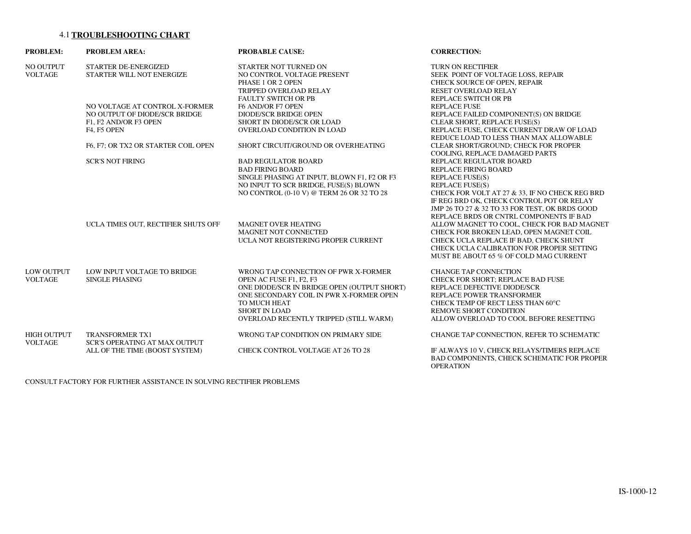#### 4.1**TROUBLESHOOTING CHART**

| <b>PROBLEM:</b>                     | <b>PROBLEM AREA:</b>                                                                                    | <b>PROBABLE CAUSE:</b>                                                                                                                                                                                                                      | <b>CORRECTION:</b>                                                                                                                                                                                                                                                                                                                                               |
|-------------------------------------|---------------------------------------------------------------------------------------------------------|---------------------------------------------------------------------------------------------------------------------------------------------------------------------------------------------------------------------------------------------|------------------------------------------------------------------------------------------------------------------------------------------------------------------------------------------------------------------------------------------------------------------------------------------------------------------------------------------------------------------|
| NO OUTPUT<br><b>VOLTAGE</b>         | STARTER DE-ENERGIZED<br>STARTER WILL NOT ENERGIZE                                                       | STARTER NOT TURNED ON<br>NO CONTROL VOLTAGE PRESENT<br>PHASE 1 OR 2 OPEN<br>TRIPPED OVERLOAD RELAY                                                                                                                                          | <b>TURN ON RECTIFIER</b><br>SEEK POINT OF VOLTAGE LOSS, REPAIR<br>CHECK SOURCE OF OPEN, REPAIR<br>RESET OVERLOAD RELAY                                                                                                                                                                                                                                           |
|                                     | NO VOLTAGE AT CONTROL X-FORMER<br>NO OUTPUT OF DIODE/SCR BRIDGE<br>F1, F2 AND/OR F3 OPEN<br>F4, F5 OPEN | <b>FAULTY SWITCH OR PB</b><br>F6 AND/OR F7 OPEN<br><b>DIODE/SCR BRIDGE OPEN</b><br>SHORT IN DIODE/SCR OR LOAD<br>OVERLOAD CONDITION IN LOAD                                                                                                 | <b>REPLACE SWITCH OR PB</b><br><b>REPLACE FUSE</b><br>REPLACE FAILED COMPONENT(S) ON BRIDGE<br>CLEAR SHORT, REPLACE FUSE(S)<br>REPLACE FUSE, CHECK CURRENT DRAW OF LOAD<br>REDUCE LOAD TO LESS THAN MAX ALLOWABLE                                                                                                                                                |
|                                     | F6, F7; OR TX2 OR STARTER COIL OPEN                                                                     | SHORT CIRCUIT/GROUND OR OVERHEATING                                                                                                                                                                                                         | CLEAR SHORT/GROUND; CHECK FOR PROPER                                                                                                                                                                                                                                                                                                                             |
|                                     | <b>SCR'S NOT FIRING</b>                                                                                 | <b>BAD REGULATOR BOARD</b><br><b>BAD FIRING BOARD</b><br>SINGLE PHASING AT INPUT, BLOWN F1, F2 OR F3<br>NO INPUT TO SCR BRIDGE, FUSE(S) BLOWN<br>NO CONTROL (0-10 V) @ TERM 26 OR 32 TO 28                                                  | COOLING, REPLACE DAMAGED PARTS<br>REPLACE REGULATOR BOARD<br><b>REPLACE FIRING BOARD</b><br><b>REPLACE FUSE(S)</b><br><b>REPLACE FUSE(S)</b><br>CHECK FOR VOLT AT 27 & 33, IF NO CHECK REG BRD                                                                                                                                                                   |
|                                     | UCLA TIMES OUT, RECTIFIER SHUTS OFF                                                                     | <b>MAGNET OVER HEATING</b><br>MAGNET NOT CONNECTED<br>UCLA NOT REGISTERING PROPER CURRENT                                                                                                                                                   | IF REG BRD OK, CHECK CONTROL POT OR RELAY<br>JMP 26 TO 27 & 32 TO 33 FOR TEST, OK BRDS GOOD<br>REPLACE BRDS OR CNTRL COMPONENTS IF BAD<br>ALLOW MAGNET TO COOL, CHECK FOR BAD MAGNET<br>CHECK FOR BROKEN LEAD, OPEN MAGNET COIL<br>CHECK UCLA REPLACE IF BAD, CHECK SHUNT<br>CHECK UCLA CALIBRATION FOR PROPER SETTING<br>MUST BE ABOUT 65 % OF COLD MAG CURRENT |
| <b>LOW OUTPUT</b><br><b>VOLTAGE</b> | LOW INPUT VOLTAGE TO BRIDGE<br><b>SINGLE PHASING</b>                                                    | WRONG TAP CONNECTION OF PWR X-FORMER<br>OPEN AC FUSE F1, F2, F3<br>ONE DIODE/SCR IN BRIDGE OPEN (OUTPUT SHORT)<br>ONE SECONDARY COIL IN PWR X-FORMER OPEN<br>TO MUCH HEAT<br><b>SHORT IN LOAD</b><br>OVERLOAD RECENTLY TRIPPED (STILL WARM) | CHANGE TAP CONNECTION<br>CHECK FOR SHORT; REPLACE BAD FUSE<br>REPLACE DEFECTIVE DIODE/SCR<br>REPLACE POWER TRANSFORMER<br>CHECK TEMP OF RECT LESS THAN 60°C<br><b>REMOVE SHORT CONDITION</b><br>ALLOW OVERLOAD TO COOL BEFORE RESETTING                                                                                                                          |
| <b>HIGH OUTPUT</b>                  | <b>TRANSFORMER TX1</b>                                                                                  | WRONG TAP CONDITION ON PRIMARY SIDE                                                                                                                                                                                                         | CHANGE TAP CONNECTION, REFER TO SCHEMATIC                                                                                                                                                                                                                                                                                                                        |
| <b>VOLTAGE</b>                      | <b>SCR'S OPERATING AT MAX OUTPUT</b><br>ALL OF THE TIME (BOOST SYSTEM)                                  | CHECK CONTROL VOLTAGE AT 26 TO 28                                                                                                                                                                                                           | IF ALWAYS 10 V. CHECK RELAYS/TIMERS REPLACE<br>BAD COMPONENTS, CHECK SCHEMATIC FOR PROPER<br><b>OPERATION</b>                                                                                                                                                                                                                                                    |

CONSULT FACTORY FOR FURTHER ASSISTANCE IN SOLVING RECTIFIER PROBLEMS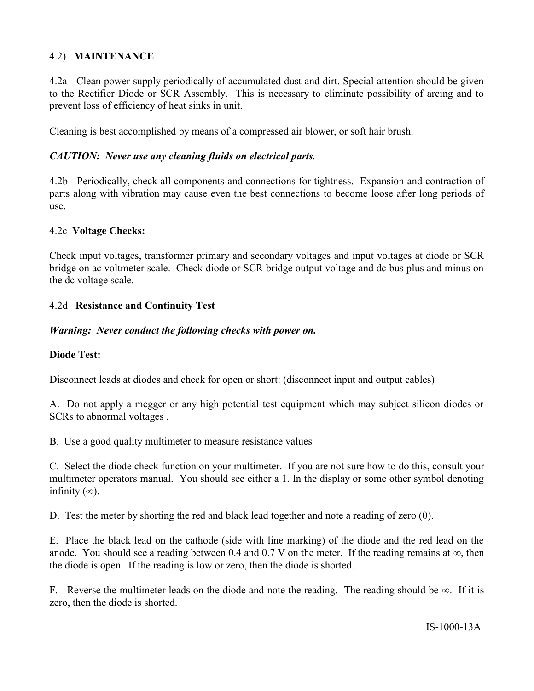#### 4.2) **MAINTENANCE**

4.2a Clean power supply periodically of accumulated dust and dirt. Special attention should be given to the Rectifier Diode or SCR Assembly. This is necessary to eliminate possibility of arcing and to prevent loss of efficiency of heat sinks in unit.

Cleaning is best accomplished by means of a compressed air blower, or soft hair brush.

#### *CAUTION: Never use any cleaning fluids on electrical parts.*

4.2b Periodically, check all components and connections for tightness. Expansion and contraction of parts along with vibration may cause even the best connections to become loose after long periods of use.

#### 4.2c **Voltage Checks:**

Check input voltages, transformer primary and secondary voltages and input voltages at diode or SCR bridge on ac voltmeter scale. Check diode or SCR bridge output voltage and dc bus plus and minus on the dc voltage scale.

#### 4.2d **Resistance and Continuity Test**

#### *Warning: Never conduct the following checks with power on.*

#### **Diode Test:**

Disconnect leads at diodes and check for open or short: (disconnect input and output cables)

A. Do not apply a megger or any high potential test equipment which may subject silicon diodes or SCRs to abnormal voltages .

B. Use a good quality multimeter to measure resistance values

C. Select the diode check function on your multimeter. If you are not sure how to do this, consult your multimeter operators manual. You should see either a 1. In the display or some other symbol denoting infinity  $(\infty)$ .

D. Test the meter by shorting the red and black lead together and note a reading of zero (0).

E. Place the black lead on the cathode (side with line marking) of the diode and the red lead on the anode. You should see a reading between 0.4 and 0.7 V on the meter. If the reading remains at  $\infty$ , then the diode is open. If the reading is low or zero, then the diode is shorted.

F. Reverse the multimeter leads on the diode and note the reading. The reading should be  $\infty$ . If it is zero, then the diode is shorted.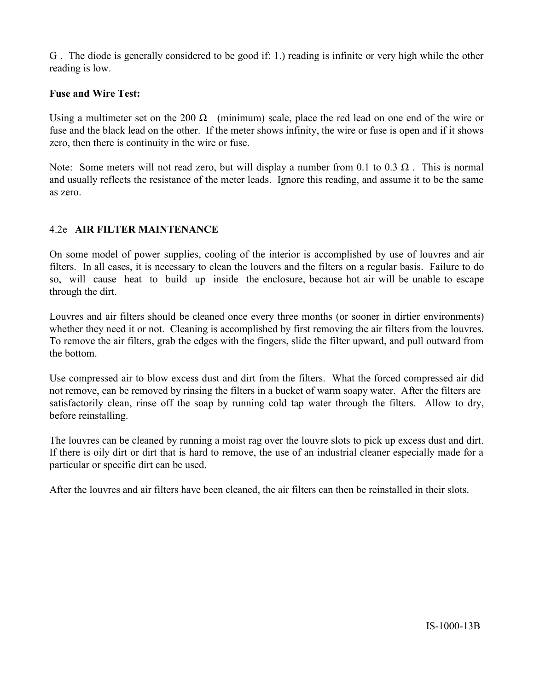G . The diode is generally considered to be good if: 1.) reading is infinite or very high while the other reading is low.

#### **Fuse and Wire Test:**

Using a multimeter set on the 200  $\Omega$  (minimum) scale, place the red lead on one end of the wire or fuse and the black lead on the other. If the meter shows infinity, the wire or fuse is open and if it shows zero, then there is continuity in the wire or fuse.

Note: Some meters will not read zero, but will display a number from 0.1 to 0.3  $\Omega$ . This is normal and usually reflects the resistance of the meter leads. Ignore this reading, and assume it to be the same as zero.

#### 4.2e **AIR FILTER MAINTENANCE**

On some model of power supplies, cooling of the interior is accomplished by use of louvres and air filters. In all cases, it is necessary to clean the louvers and the filters on a regular basis. Failure to do so, will cause heat to build up inside the enclosure, because hot air will be unable to escape through the dirt.

Louvres and air filters should be cleaned once every three months (or sooner in dirtier environments) whether they need it or not. Cleaning is accomplished by first removing the air filters from the louvres. To remove the air filters, grab the edges with the fingers, slide the filter upward, and pull outward from the bottom.

Use compressed air to blow excess dust and dirt from the filters. What the forced compressed air did not remove, can be removed by rinsing the filters in a bucket of warm soapy water. After the filters are satisfactorily clean, rinse off the soap by running cold tap water through the filters. Allow to dry, before reinstalling.

The louvres can be cleaned by running a moist rag over the louvre slots to pick up excess dust and dirt. If there is oily dirt or dirt that is hard to remove, the use of an industrial cleaner especially made for a particular or specific dirt can be used.

After the louvres and air filters have been cleaned, the air filters can then be reinstalled in their slots.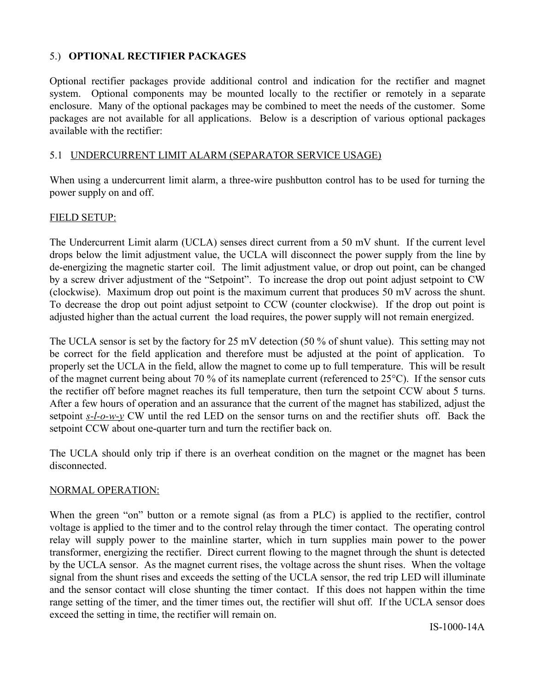#### 5.) **OPTIONAL RECTIFIER PACKAGES**

Optional rectifier packages provide additional control and indication for the rectifier and magnet system. Optional components may be mounted locally to the rectifier or remotely in a separate enclosure. Many of the optional packages may be combined to meet the needs of the customer. Some packages are not available for all applications. Below is a description of various optional packages available with the rectifier:

#### 5.1 UNDERCURRENT LIMIT ALARM (SEPARATOR SERVICE USAGE)

When using a undercurrent limit alarm, a three-wire pushbutton control has to be used for turning the power supply on and off.

#### FIELD SETUP:

The Undercurrent Limit alarm (UCLA) senses direct current from a 50 mV shunt. If the current level drops below the limit adjustment value, the UCLA will disconnect the power supply from the line by de-energizing the magnetic starter coil. The limit adjustment value, or drop out point, can be changed by a screw driver adjustment of the "Setpoint". To increase the drop out point adjust setpoint to CW (clockwise). Maximum drop out point is the maximum current that produces 50 mV across the shunt. To decrease the drop out point adjust setpoint to CCW (counter clockwise). If the drop out point is adjusted higher than the actual current the load requires, the power supply will not remain energized.

The UCLA sensor is set by the factory for 25 mV detection (50 % of shunt value). This setting may not be correct for the field application and therefore must be adjusted at the point of application. To properly set the UCLA in the field, allow the magnet to come up to full temperature. This will be result of the magnet current being about 70 % of its nameplate current (referenced to 25°C). If the sensor cuts the rectifier off before magnet reaches its full temperature, then turn the setpoint CCW about 5 turns. After a few hours of operation and an assurance that the current of the magnet has stabilized, adjust the setpoint *s-l-o-w-y* CW until the red LED on the sensor turns on and the rectifier shuts off. Back the setpoint CCW about one-quarter turn and turn the rectifier back on.

The UCLA should only trip if there is an overheat condition on the magnet or the magnet has been disconnected.

#### NORMAL OPERATION:

When the green "on" button or a remote signal (as from a PLC) is applied to the rectifier, control voltage is applied to the timer and to the control relay through the timer contact. The operating control relay will supply power to the mainline starter, which in turn supplies main power to the power transformer, energizing the rectifier. Direct current flowing to the magnet through the shunt is detected by the UCLA sensor. As the magnet current rises, the voltage across the shunt rises. When the voltage signal from the shunt rises and exceeds the setting of the UCLA sensor, the red trip LED will illuminate and the sensor contact will close shunting the timer contact. If this does not happen within the time range setting of the timer, and the timer times out, the rectifier will shut off. If the UCLA sensor does exceed the setting in time, the rectifier will remain on.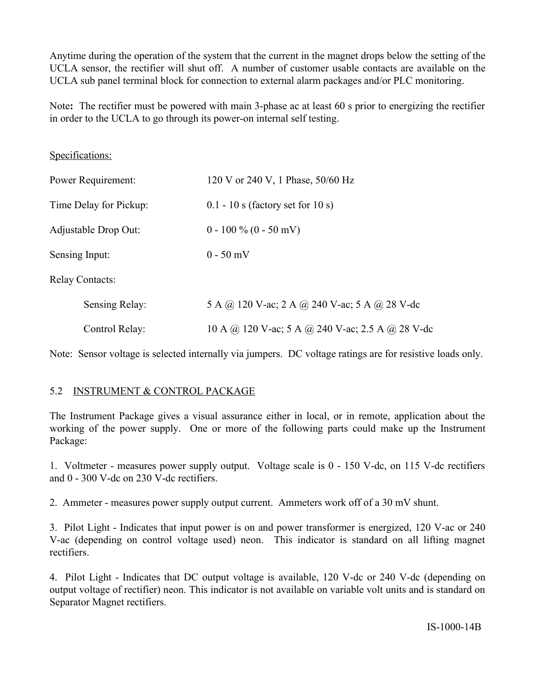Anytime during the operation of the system that the current in the magnet drops below the setting of the UCLA sensor, the rectifier will shut off. A number of customer usable contacts are available on the UCLA sub panel terminal block for connection to external alarm packages and/or PLC monitoring.

Note**:** The rectifier must be powered with main 3-phase ac at least 60 s prior to energizing the rectifier in order to the UCLA to go through its power-on internal self testing.

| Specifications:        |                                                  |
|------------------------|--------------------------------------------------|
| Power Requirement:     | 120 V or 240 V, 1 Phase, 50/60 Hz                |
| Time Delay for Pickup: | $0.1 - 10$ s (factory set for 10 s)              |
| Adjustable Drop Out:   | $0 - 100 \% (0 - 50 mV)$                         |
| Sensing Input:         | $0 - 50$ mV                                      |
| <b>Relay Contacts:</b> |                                                  |
| Sensing Relay:         | 5 A @ 120 V-ac; 2 A @ 240 V-ac; 5 A @ 28 V-dc    |
| Control Relay:         | 10 A @ 120 V-ac; 5 A @ 240 V-ac; 2.5 A @ 28 V-dc |

Note: Sensor voltage is selected internally via jumpers. DC voltage ratings are for resistive loads only.

# 5.2 INSTRUMENT & CONTROL PACKAGE

The Instrument Package gives a visual assurance either in local, or in remote, application about the working of the power supply. One or more of the following parts could make up the Instrument Package:

1. Voltmeter - measures power supply output. Voltage scale is 0 - 150 V-dc, on 115 V-dc rectifiers and 0 - 300 V-dc on 230 V-dc rectifiers.

2. Ammeter - measures power supply output current. Ammeters work off of a 30 mV shunt.

3. Pilot Light - Indicates that input power is on and power transformer is energized, 120 V-ac or 240 V-ac (depending on control voltage used) neon. This indicator is standard on all lifting magnet rectifiers.

4. Pilot Light - Indicates that DC output voltage is available, 120 V-dc or 240 V-dc (depending on output voltage of rectifier) neon. This indicator is not available on variable volt units and is standard on Separator Magnet rectifiers.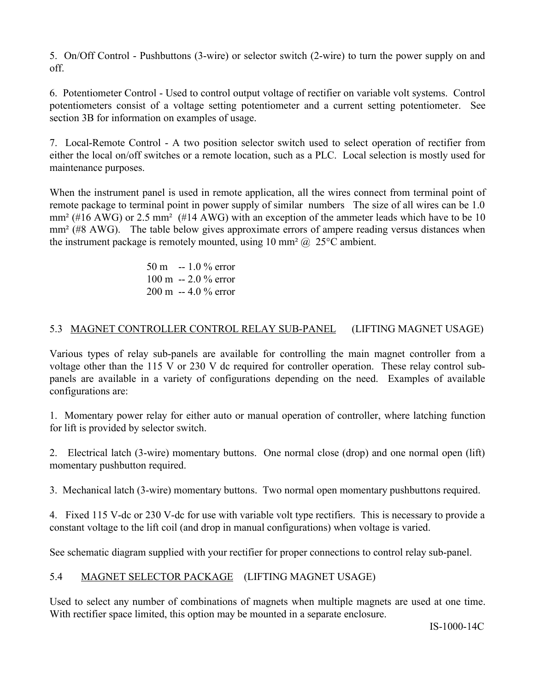5. On/Off Control - Pushbuttons (3-wire) or selector switch (2-wire) to turn the power supply on and off.

6. Potentiometer Control - Used to control output voltage of rectifier on variable volt systems. Control potentiometers consist of a voltage setting potentiometer and a current setting potentiometer. See section 3B for information on examples of usage.

7. Local-Remote Control - A two position selector switch used to select operation of rectifier from either the local on/off switches or a remote location, such as a PLC. Local selection is mostly used for maintenance purposes.

When the instrument panel is used in remote application, all the wires connect from terminal point of remote package to terminal point in power supply of similar numbers The size of all wires can be 1.0 mm<sup>2</sup> (#16 AWG) or 2.5 mm<sup>2</sup> (#14 AWG) with an exception of the ammeter leads which have to be 10 mm<sup>2</sup> (#8 AWG). The table below gives approximate errors of ampere reading versus distances when the instrument package is remotely mounted, using 10 mm<sup>2</sup>  $@$  25<sup>o</sup>C ambient.

> 50 m -- 1.0 % error 100 m -- 2.0 % error 200 m -- 4.0 % error

# 5.3 MAGNET CONTROLLER CONTROL RELAY SUB-PANEL (LIFTING MAGNET USAGE)

Various types of relay sub-panels are available for controlling the main magnet controller from a voltage other than the 115 V or 230 V dc required for controller operation. These relay control subpanels are available in a variety of configurations depending on the need. Examples of available configurations are:

1. Momentary power relay for either auto or manual operation of controller, where latching function for lift is provided by selector switch.

2. Electrical latch (3-wire) momentary buttons. One normal close (drop) and one normal open (lift) momentary pushbutton required.

3. Mechanical latch (3-wire) momentary buttons. Two normal open momentary pushbuttons required.

4. Fixed 115 V-dc or 230 V-dc for use with variable volt type rectifiers. This is necessary to provide a constant voltage to the lift coil (and drop in manual configurations) when voltage is varied.

See schematic diagram supplied with your rectifier for proper connections to control relay sub-panel.

# 5.4 MAGNET SELECTOR PACKAGE (LIFTING MAGNET USAGE)

Used to select any number of combinations of magnets when multiple magnets are used at one time. With rectifier space limited, this option may be mounted in a separate enclosure.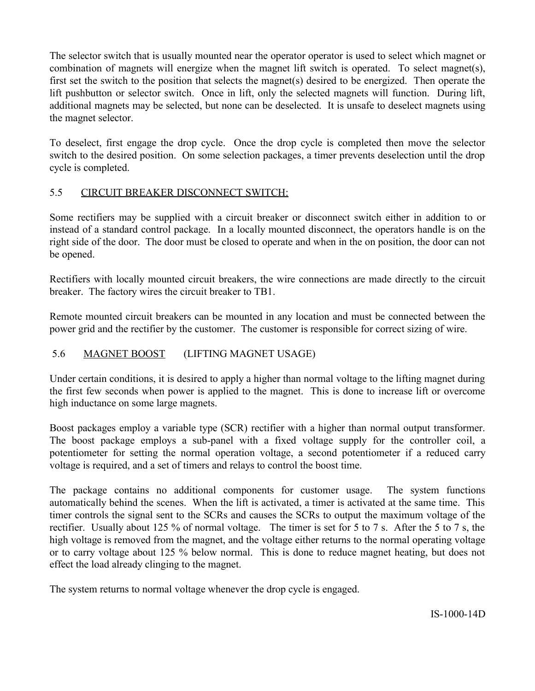The selector switch that is usually mounted near the operator operator is used to select which magnet or combination of magnets will energize when the magnet lift switch is operated. To select magnet(s), first set the switch to the position that selects the magnet(s) desired to be energized. Then operate the lift pushbutton or selector switch. Once in lift, only the selected magnets will function. During lift, additional magnets may be selected, but none can be deselected. It is unsafe to deselect magnets using the magnet selector.

To deselect, first engage the drop cycle. Once the drop cycle is completed then move the selector switch to the desired position. On some selection packages, a timer prevents deselection until the drop cycle is completed.

# 5.5 CIRCUIT BREAKER DISCONNECT SWITCH:

Some rectifiers may be supplied with a circuit breaker or disconnect switch either in addition to or instead of a standard control package. In a locally mounted disconnect, the operators handle is on the right side of the door. The door must be closed to operate and when in the on position, the door can not be opened.

Rectifiers with locally mounted circuit breakers, the wire connections are made directly to the circuit breaker. The factory wires the circuit breaker to TB1.

Remote mounted circuit breakers can be mounted in any location and must be connected between the power grid and the rectifier by the customer. The customer is responsible for correct sizing of wire.

# 5.6 MAGNET BOOST (LIFTING MAGNET USAGE)

Under certain conditions, it is desired to apply a higher than normal voltage to the lifting magnet during the first few seconds when power is applied to the magnet. This is done to increase lift or overcome high inductance on some large magnets.

Boost packages employ a variable type (SCR) rectifier with a higher than normal output transformer. The boost package employs a sub-panel with a fixed voltage supply for the controller coil, a potentiometer for setting the normal operation voltage, a second potentiometer if a reduced carry voltage is required, and a set of timers and relays to control the boost time.

The package contains no additional components for customer usage. The system functions automatically behind the scenes. When the lift is activated, a timer is activated at the same time. This timer controls the signal sent to the SCRs and causes the SCRs to output the maximum voltage of the rectifier. Usually about 125 % of normal voltage. The timer is set for 5 to 7 s. After the 5 to 7 s, the high voltage is removed from the magnet, and the voltage either returns to the normal operating voltage or to carry voltage about 125 % below normal. This is done to reduce magnet heating, but does not effect the load already clinging to the magnet.

The system returns to normal voltage whenever the drop cycle is engaged.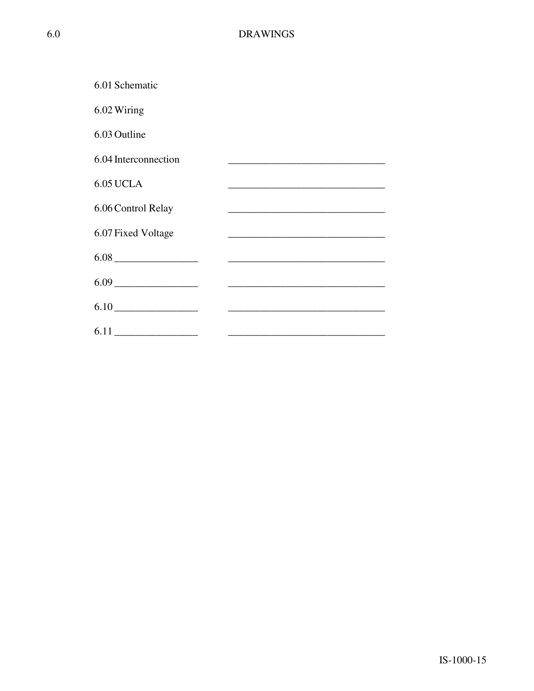| 6.01 Schematic       |                                                                                                                      |
|----------------------|----------------------------------------------------------------------------------------------------------------------|
| 6.02 Wiring          |                                                                                                                      |
| 6.03 Outline         |                                                                                                                      |
| 6.04 Interconnection | <u> 1989 - Johann John Stone, market fan it ferstjer fan it ferstjer fan it ferstjer fan it ferstjer fan it fers</u> |
| <b>6.05 UCLA</b>     |                                                                                                                      |
| 6.06 Control Relay   |                                                                                                                      |
| 6.07 Fixed Voltage   |                                                                                                                      |
|                      |                                                                                                                      |
|                      |                                                                                                                      |
| $6.10$               |                                                                                                                      |
|                      |                                                                                                                      |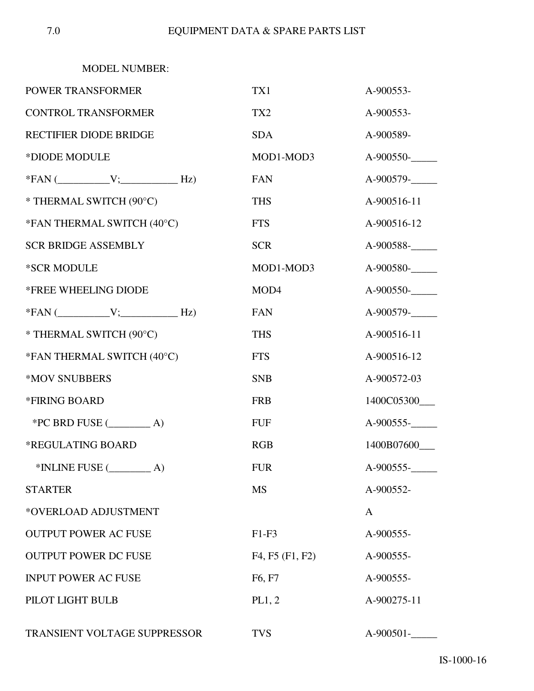MODEL NUMBER:

| POWER TRANSFORMER             | TX1                             | A-900553-   |
|-------------------------------|---------------------------------|-------------|
| <b>CONTROL TRANSFORMER</b>    | TX <sub>2</sub>                 | A-900553-   |
| <b>RECTIFIER DIODE BRIDGE</b> | <b>SDA</b>                      | A-900589-   |
| *DIODE MODULE                 | MOD1-MOD3                       | A-900550-   |
| $*FAN$ ( $V$ ; $Hz$ )         | <b>FAN</b>                      | A-900579-   |
| * THERMAL SWITCH (90°C)       | <b>THS</b>                      | A-900516-11 |
| *FAN THERMAL SWITCH (40°C)    | <b>FTS</b>                      | A-900516-12 |
| <b>SCR BRIDGE ASSEMBLY</b>    | <b>SCR</b>                      | A-900588-   |
| *SCR MODULE                   | MOD1-MOD3                       | A-900580-   |
| *FREE WHEELING DIODE          | MOD4                            | A-900550-   |
| $*FAN$ ( $V$ ; $Hz$ )         | <b>FAN</b>                      | A-900579-   |
| * THERMAL SWITCH (90°C)       | <b>THS</b>                      | A-900516-11 |
| *FAN THERMAL SWITCH (40°C)    | <b>FTS</b>                      | A-900516-12 |
| *MOV SNUBBERS                 | <b>SNB</b>                      | A-900572-03 |
| <b>*FIRING BOARD</b>          | <b>FRB</b>                      | 1400C05300  |
| $*PC$ BRD FUSE $(\_\_\_\_A)$  | <b>FUF</b>                      | A-900555-   |
| *REGULATING BOARD             | <b>RGB</b>                      | 1400B07600  |
| $*$ INLINE FUSE $($ $A)$      | <b>FUR</b>                      | A-900555-   |
| <b>STARTER</b>                | <b>MS</b>                       | A-900552-   |
| *OVERLOAD ADJUSTMENT          |                                 | A           |
| <b>OUTPUT POWER AC FUSE</b>   | $F1-F3$                         | A-900555-   |
| <b>OUTPUT POWER DC FUSE</b>   | F4, F5 (F1, F2)                 | A-900555-   |
| <b>INPUT POWER AC FUSE</b>    | F <sub>6</sub> , F <sub>7</sub> | A-900555-   |
| PILOT LIGHT BULB              | PL1, 2                          | A-900275-11 |
| TRANSIENT VOLTAGE SUPPRESSOR  | <b>TVS</b>                      | A-900501-   |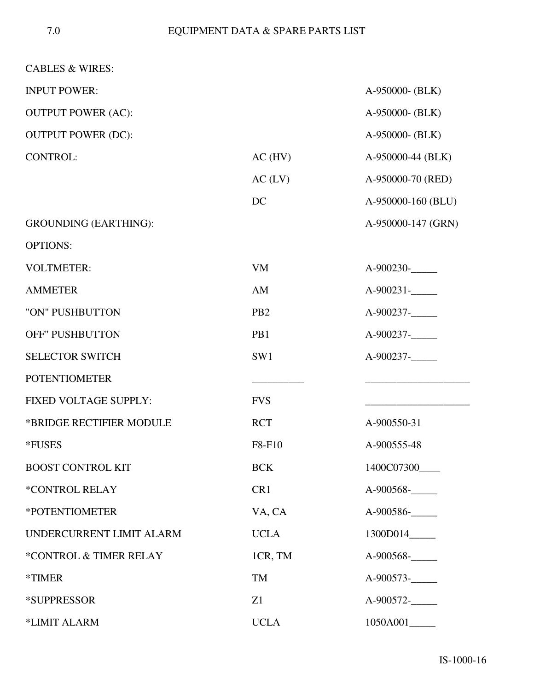| <b>CABLES &amp; WIRES:</b>   |                 |                            |
|------------------------------|-----------------|----------------------------|
| <b>INPUT POWER:</b>          |                 | A-950000- (BLK)            |
| <b>OUTPUT POWER (AC):</b>    |                 | A-950000- (BLK)            |
| <b>OUTPUT POWER (DC):</b>    |                 | A-950000- (BLK)            |
| <b>CONTROL:</b>              | $AC$ (HV)       | A-950000-44 (BLK)          |
|                              | AC (LV)         | A-950000-70 (RED)          |
|                              | DC              | A-950000-160 (BLU)         |
| <b>GROUNDING (EARTHING):</b> |                 | A-950000-147 (GRN)         |
| <b>OPTIONS:</b>              |                 |                            |
| <b>VOLTMETER:</b>            | <b>VM</b>       | A-900230-                  |
| <b>AMMETER</b>               | AM              | $A-900231$ - $\_\_$        |
| "ON" PUSHBUTTON              | PB <sub>2</sub> | A-900237-                  |
| <b>OFF" PUSHBUTTON</b>       | PB1             | A-900237-                  |
| <b>SELECTOR SWITCH</b>       | SW1             | A-900237-                  |
| <b>POTENTIOMETER</b>         |                 |                            |
| <b>FIXED VOLTAGE SUPPLY:</b> | <b>FVS</b>      |                            |
| *BRIDGE RECTIFIER MODULE     | <b>RCT</b>      | A-900550-31                |
| *FUSES                       | F8-F10          | A-900555-48                |
| <b>BOOST CONTROL KIT</b>     | <b>BCK</b>      | 1400C07300                 |
| *CONTROL RELAY               | CR1             | A-900568-                  |
| *POTENTIOMETER               | VA, CA          | A-900586-                  |
| UNDERCURRENT LIMIT ALARM     | <b>UCLA</b>     |                            |
| *CONTROL & TIMER RELAY       | 1CR, TM         | A-900568-                  |
| <i><b>*TIMER</b></i>         | TM              | $A-900573$ -               |
| *SUPPRESSOR                  | Z1              | $A-900572$ - $\frac{1}{2}$ |
| *LIMIT ALARM                 | <b>UCLA</b>     | 1050A001_____              |